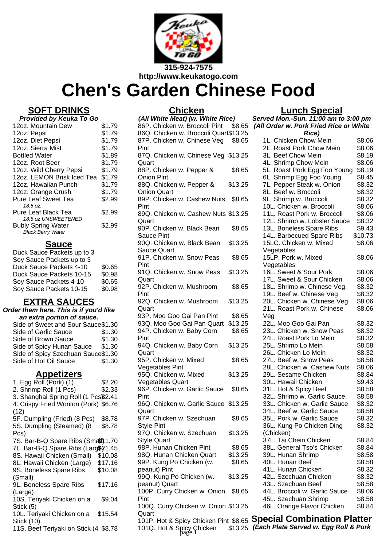

# **Chen's Garden Chinese Food**

## **SOFT DRINKS**

| Provided by Keuka To Go |  |  |
|-------------------------|--|--|
| \$1.79                  |  |  |
| \$1.79                  |  |  |
| \$1.79                  |  |  |
| \$1.79                  |  |  |
| \$1.89                  |  |  |
| \$1.79                  |  |  |
| \$1.79                  |  |  |
| \$1.79                  |  |  |
| \$1.79                  |  |  |
| \$1.79                  |  |  |
| \$2.99                  |  |  |
|                         |  |  |
| \$2.99                  |  |  |
| \$2.99                  |  |  |
|                         |  |  |

#### **Sauce**

| Duck Sauce Packets up to 3 |        |
|----------------------------|--------|
| Soy Sauce Packets up to 3  |        |
| Duck Sauce Packets 4-10    | \$0.65 |
| Duck Sauce Packets 10-15   | \$0.98 |
| Soy Sauce Packets 4-10     | \$0.65 |
| Soy Sauce Packets 10-15    | \$0.98 |
|                            |        |

## **EXTRA SAUCES**

| Order them here. This is if you'd like |        |  |
|----------------------------------------|--------|--|
| an extra portion of sauce.             |        |  |
| Side of Sweet and Sour Sauce\$1.30     |        |  |
| Side of Garlic Sauce                   | \$1.30 |  |
| Side of Brown Sauce                    | \$1.30 |  |
| Side of Spicy Hunan Sauce              | \$1.30 |  |
| Side of Spicy Szechuan Sauce\$1.30     |        |  |
| Side of Hot Oil Sauce                  | \$1.30 |  |

## **Appetizers**

| 1. Egg Roll (Pork) (1)                | \$2.20  |
|---------------------------------------|---------|
| 2. Shrimp Roll (1 Pcs)                | \$2.33  |
| 3. Shanghai Spring Roll (1 Pcs\$2.41  |         |
| 4. Crispy Fried Wonton (Pork) \$6.76  |         |
| (12)                                  |         |
| 5F. Dumpling (Fried) (8 Pcs)          | \$8.78  |
| 5S. Dumpling (Steamed) (8             | \$8.78  |
| Pcs)                                  |         |
| 7S. Bar-B-Q Spare Ribs (Sma\$l) 1.70  |         |
| 7L. Bar-B-Q Spare Ribs (Larg\$21.45   |         |
| 8S. Hawaii Chicken (Small)            | \$10.08 |
| 8L. Hawaii Chicken (Large)            | \$17.16 |
| 9S. Boneless Spare Ribs               | \$10.08 |
| (Small)                               |         |
| 9L. Boneless Spare Ribs               | \$17.16 |
| (Large)                               |         |
| 10S. Teriyaki Chicken on a            | \$9.04  |
| Stick (5)                             |         |
| 10L. Teriyaki Chicken on a            | \$15.54 |
| Stick (10)                            |         |
| 11S. Beef Teriyaki on Stick (4 \$8.78 |         |
|                                       |         |

## **Chicken**

| (All White Meat) (w. White Rice)      |         |
|---------------------------------------|---------|
| 86P. Chicken w. Broccoli Pint         | \$8.65  |
| 86Q. Chicken w. Broccoli Quart\$13.25 |         |
| 87P. Chicken w. Chinese Veg           | \$8.65  |
| Pint                                  |         |
| 87Q. Chicken w. Chinese Veg \$13.25   |         |
| Quart                                 |         |
| 88P. Chicken w. Pepper &              | \$8.65  |
| <b>Onion Pint</b>                     |         |
| 88Q. Chicken w. Pepper &              | \$13.25 |
| <b>Onion Quart</b>                    |         |
|                                       |         |
| 89P. Chicken w. Cashew Nuts           | \$8.65  |
| Pint                                  |         |
| 89Q. Chicken w. Cashew Nuts \$13.25   |         |
| Quart                                 |         |
| 90P. Chicken w. Black Bean            | \$8.65  |
| <b>Sauce Pint</b>                     |         |
| 90Q. Chicken w. Black Bean            | \$13.25 |
| <b>Sauce Quart</b>                    |         |
| 91P. Chicken w. Snow Peas             | \$8.65  |
| Pint                                  |         |
| 91Q. Chicken w. Snow Peas             | \$13.25 |
| Quart                                 |         |
| 92P. Chicken w. Mushroom              | \$8.65  |
| Pint                                  |         |
| 92Q. Chicken w. Mushroom              | \$13.25 |
|                                       |         |
| Quart                                 |         |
| 93P. Moo Goo Gai Pan Pint             | \$8.65  |
| 93Q. Moo Goo Gai Pan Quart            | \$13.25 |
| 94P. Chicken w. Baby Corn             | \$8.65  |
| Pint                                  |         |
| 94Q. Chicken w. Baby Corn             | \$13.25 |
| Quart                                 |         |
| 95P. Chicken w. Mixed                 | \$8.65  |
| Vegetables Pint                       |         |
| 95Q. Chicken w. Mixed                 | \$13.25 |
| <b>Vegetables Quart</b>               |         |
| 96P. Chicken w. Garlic Sauce          | \$8.65  |
| Pint                                  |         |
| 96Q. Chicken w. Garlic Sauce \$13.25  |         |
| Quart                                 |         |
| 97P. Chicken w. Szechuan              | \$8.65  |
| Style Pint                            |         |
| 97Q. Chicken w. Szechuan              | \$13.25 |
| <b>Style Quart</b>                    |         |
| 98P. Hunan Chicken Pint               | \$8.65  |
| 98Q. Hunan Chicken Quart              | \$13.25 |
| 99P. Kung Po Chicken (w.              |         |
|                                       | \$8.65  |
| peanut) Pint                          |         |
| 99Q. Kung Po Chicken (w.              | \$13.25 |
| peanut) Quart                         |         |
| 100P. Curry Chicken w. Onion          | \$8.65  |
| Pint                                  |         |
| 100Q. Curry Chicken w. Onion \$13.25  |         |
| Quart                                 |         |
| 101P. Hot & Spicy Chicken Pint \$8.65 |         |
| 101Q. Hot & Spicy Chicken             | \$13.25 |
|                                       |         |

## **Lunch Special**

**Served Mon.-Sun. 11:00 am to 3:00 pm (All Order w. Pork Fried Rice or White Rice)**

| 1L. Chicken Chow Mein         | \$8.06  |
|-------------------------------|---------|
| 2L. Roast Pork Chow Mein      | \$8.06  |
| 3L. Beef Chow Mein            | \$8.19  |
| 4L. Shrimp Chow Mein          | \$8.06  |
| 5L. Roast Pork Egg Foo Young  | \$8.19  |
| 6L. Shrimp Egg Foo Young      | \$8.45  |
| 7L. Pepper Steak w. Onion     | \$8.32  |
| 8L. Beef w. Broccoli          | \$8.32  |
| 9L. Shrimp w. Broccoli        | \$8.32  |
| 10L. Chicken w. Broccoli      | \$8.06  |
| 11L. Roast Pork w. Broccoli   | \$8.06  |
| 12L. Shrimp w. Lobster Sauce  | \$8.32  |
| 13L. Boneless Spare Ribs      | \$9.43  |
|                               |         |
| 14L. Barbecued Spare Ribs     | \$10.73 |
| 15LC. Chicken w. Mixed        | \$8.06  |
| Vegetables                    |         |
| 15LP. Pork w. Mixed           | \$8.06  |
| Vegetables                    |         |
| 16L. Sweet & Sour Pork        | \$8.06  |
| 17L. Sweet & Sour Chicken     | \$8.06  |
| 18L. Shrimp w. Chinese Veg.   | \$8.32  |
| 19L. Beef w. Chinese Veg      | \$8.32  |
| 20L. Chicken w. Chinese Veg   | \$8.06  |
| 21L. Roast Pork w. Chinese    | \$8.06  |
| Veg                           |         |
| 22L. Moo Goo Gai Pan          | \$8.32  |
| 23L. Chicken w. Snow Peas     | \$8.32  |
| 24L. Roast Pork Lo Mein       | \$8.32  |
| 25L. Shrimp Lo Mein           | \$8.58  |
| 26L. Chicken Lo Mein          | \$8.32  |
| 27L. Beef w. Snow Peas        | \$8.58  |
| 28L. Chicken w. Cashew Nuts   | \$8.06  |
| 29L. Sesame Chicken           | \$8.84  |
| 30L. Hawaii Chicken           | \$9.43  |
| 31L. Hot & Spicy Beef         | \$8.58  |
| 32L. Shrimp w. Garlic Sauce   | \$8.58  |
| 33L. Chicken w. Garlic Sauce  | \$8.32  |
| 34L. Beef w. Garlic Sauce     | \$8.58  |
| 35L. Pork w. Garlic Sauce     | \$8.32  |
| 36L. Kung Po Chicken Ding     | \$8.32  |
| (Chicken)                     |         |
| 37L. Tai Chein Chicken        | \$8.84  |
| 38L. General Tso's Chicken    | \$8.84  |
|                               |         |
| 39L. Hunan Shrimp             | \$8.58  |
| 40L. Hunan Beef               | \$8.58  |
| 41L. Hunan Chicken            | \$8.32  |
| 42L. Szechuan Chicken         | \$8.32  |
| 43L. Szechuan Beef            | \$8.58  |
| 44L. Broccoli w. Garlic Sauce | \$8.06  |
| 45L. Szechuan Shrimp          | \$8.58  |
| 46L. Orange Flavor Chicken    | \$8.84  |

101P. Hot & Spicy Chicken Pint \$8.65 **Special Combination Platter (Each Plate Served w. Egg Roll & Pork**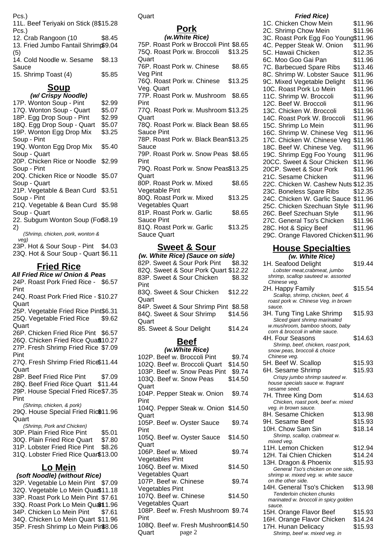Pcs.)

| 11L. Beef Teriyaki on Stick (8\$15.28 |        |
|---------------------------------------|--------|
| Pcs.)                                 |        |
| 12. Crab Rangoon (10                  | \$8.45 |
| 13. Fried Jumbo Fantail Shrimp\$9.04  |        |
| (5)                                   |        |
| 14. Cold Noodle w. Sesame             | \$8.13 |
| Sauce                                 |        |
| 15. Shrimp Toast (4)                  | \$5.85 |

# **Soup**

#### **(w/ Crispy Noodle)** 17P. Wonton Soup - Pint \$2.99 17Q. Wonton Soup - Quart \$5.07 18P. Egg Drop Soup - Pint \$2.99 18Q. Egg Drop Soup - Quart \$5.07 19P. Wonton Egg Drop Mix Soup - Pint \$3.25 19Q. Wonton Egg Drop Mix Soup - Quart \$5.40 20P. Chicken Rice or Noodle \$2.99 Soup - Pint 20Q. Chicken Rice or Noodle \$5.07 Soup - Quart 21P. Vegetable & Bean Curd \$3.51 Soup - Pint 21Q. Vegetable & Bean Curd \$5.98 Soup - Quart 22. Subgum Wonton Soup (Fo\$8.19 2) (Shrimp, chicken, pork, wonton & veg) 23P. Hot & Sour Soup - Pint \$4.03 23Q. Hot & Sour Soup - Quart \$6.11

## **Fried Rice**

**All Fried Rice w/ Onion & Peas** 24P. Roast Pork Fried Rice - \$6.57 Pint

24Q. Roast Pork Fried Rice - \$10.27 Quart

25P. Vegetable Fried Rice Pint\$6.31 25Q. Vegetable Fried Rice \$9.62

Quart

26P. Chicken Fried Rice Pint \$6.57

26Q. Chicken Fried Rice Quaft 10.27 27P. Fresh Shrimp Fried Rice \$7.09

Pint 27Q. Fresh Shrimp Fried Rice \$11.44 **Quart** 

28P. Beef Fried Rice Pint \$7.09

28Q. Beef Fried Rice Quart \$11.44 29P. House Special Fried Rice \$7.35

Pint (Shrimp, chicken, & pork)

29Q. House Special Fried Ric\$11.96 Quart

(Shrimp, Pork and Chicken)

- 30P. Plain Fried Rice Pint \$5.01 30Q. Plain Fried Rice Quart \$7.80
- 31P. Lobster Fried Rice Pint \$8.26
- 31Q. Lobster Fried Rice Quart\$13.00

## **Lo Mein**

## **(soft Noodle) (without Rice)**

32P. Vegetable Lo Mein Pint \$7.09 32Q. Vegetable Lo Mein Qua\$11.18 33P. Roast Pork Lo Mein Pint \$7.61 33Q. Roast Pork Lo Mein Quart 1.96 34P. Chicken Lo Mein Pint \$7.61 34Q. Chicken Lo Mein Quart \$11.96 35P. Fresh Shrimp Lo Mein Pint\$8.06 Quart

## **Pork**

#### **(w.White Rice)**

75P. Roast Pork w Broccoli Pint \$8.65 75Q. Roast Pork w. Broccoli **Quart** \$13.25 76P. Roast Pork w. Chinese Veg Pint \$8.65 76Q. Roast Pork w. Chinese Veg. Quart \$13.25 77P. Roast Pork w. Mushroom \$8.65 Pint 77Q. Roast Pork w. Mushroom \$13.25 **Quart** 78Q. Roast Pork w. Black Bean \$8.65 Sauce Pint 78P. Roast Pork w. Black Bean \$13.25 Sauce 79P. Roast Pork w. Snow Peas \$8.65 Pint 79Q. Roast Pork w. Snow Peas \$13.25 **Quart** 80P. Roast Pork w. Mixed Vegetable Pint \$8.65 80Q. Roast Pork w. Mixed Vegetables Quart \$13.25 81P. Roast Pork w. Garlic Sauce Pint \$8.65 81Q. Roast Pork w. Garlic Sauce Quart \$13.25

## **Sweet & Sour**

**(w. White Rice) (Sauce on side)** 82P. Sweet & Sour Pork Pint \$8.32 82Q. Sweet & Sour Pork Quart \$12.22 83P. Sweet & Sour Chicken Pint \$8.32 83Q. Sweet & Sour Chicken **Quart** \$12.22 84P. Sweet & Sour Shrimp Pint \$8.58 84Q. Sweet & Sour Shrimp Quart \$14.56 85. Sweet & Sour Delight \$14.24 **Beef (w.White Rice)**

| (W.VIIIIC NUC)                      |         | snow peas, proccoll & cnoice                            |
|-------------------------------------|---------|---------------------------------------------------------|
| 102P. Beef w. Broccoli Pint         | \$9.74  | Chinese veg.                                            |
| 102Q. Beef w. Broccoli Quart        | \$14.50 | 5H. Beef W. Scallop                                     |
| 103P. Beef w. Snow Peas Pint        | \$9.74  | 6H. Sesame Shrimp                                       |
| 103Q. Beef w. Snow Peas             | \$14.50 | Crispy jumbo shrimp sauteed                             |
| Quart                               |         | house specials sauce w. fragran                         |
| 104P. Pepper Steak w. Onion         | \$9.74  | sesame seed.<br>7H. Three King Dom                      |
| Pint                                |         | Chicken, roast pork, beef w. n                          |
| 104Q. Pepper Steak w. Onion \$14.50 |         | veg. in brown sauce.                                    |
| Quart                               |         | 8H. Sesame Chicken                                      |
| 105P. Beef w. Oyster Sauce          | \$9.74  | 9H. Sesame Beef                                         |
| Pint                                |         | 10H. Chow Sam Sin                                       |
| 105Q. Beef w. Oyster Sauce          | \$14.50 | Shrimp, scallop, crabmeat w.                            |
| Quart                               |         | mixed veg.                                              |
| 106P. Beef w. Mixed                 | \$9.74  | 11H. Lemon Chicken                                      |
|                                     |         | 12H. Tai Chien Chicken                                  |
| Vegetables Pint                     |         | 13H. Dragon & Phoenix                                   |
| 106Q. Beef w. Mixed                 | \$14.50 | General Tso's chicken on one                            |
| <b>Vegetables Quart</b>             |         | shrimp w. mixed veg. w. white sa                        |
| 107P. Beef w. Chinese               | \$9.74  | on the other side.                                      |
| Vegetables Pint                     |         | 14H. General Tso's Chicker<br>Tenderloin chicken chunks |
| 107Q. Beef w. Chinese               | \$14.50 | marinated w. broccoli in spicy go                       |
| <b>Vegetables Quart</b>             |         | sauce.                                                  |
| 108P. Beef w. Fresh Mushroom \$9.74 |         | 15H. Orange Flavor Beef                                 |
| Pint                                |         | 16H. Orange Flavor Chicke                               |
| 108Q. Beef w. Fresh Mushroom\$14.50 |         | 17H. Hunan Delicacy                                     |
| page 2<br>Quart                     |         | Shrimp, beef w. mixed veg. in                           |

#### **Fried Rice)**

| 1C. Chicken Chow Mein                | \$11.96 |
|--------------------------------------|---------|
| 2C. Shrimp Chow Mein                 | \$11.96 |
| 3C. Roast Pork Egg Foo Young\$11.96  |         |
| 4C. Pepper Steak W. Onion            | \$11.96 |
| 5C. Hawaii Chicken                   |         |
|                                      | \$12.35 |
| 6C. Moo Goo Gai Pan                  | \$11.96 |
| 7C. Barbecued Spare Ribs             | \$13.46 |
| 8C. Shrimp W. Lobster Sauce          | \$11.96 |
| 9C. Mixed Vegetable Delight          | \$11.96 |
| 10C. Roast Pork Lo Mein              | \$11.96 |
| 11C. Shrimp W. Broccoli              | \$11.96 |
| 12C. Beef W. Broccoli                | \$11.96 |
| 13C. Chicken W. Broccoli             | \$11.96 |
| 14C. Roast Pork W. Broccoli          | \$11.96 |
| 15C. Shrimp Lo Mein                  | \$11.96 |
| 16C. Shrimp W. Chinese Veg           | \$11.96 |
| 17C. Chicken W. Chinese Veg          | \$11.96 |
| 18C. Beef W. Chinese Veg.            | \$11.96 |
| 19C. Shrimp Egg Foo Young            | \$11.96 |
| 20CC. Sweet & Sour Chicken           | \$11.96 |
| 20CP. Sweet & Sour Pork              | \$11.96 |
| 21C. Sesame Chicken                  | \$11.96 |
| 22C. Chicken W. Cashew Nuts \$12.35  |         |
| 23C. Boneless Spare Ribs             | \$12.35 |
| 24C. Chicken W. Garlic Sauce         | \$11.96 |
| 25C. Chicken Szechuan Style          | \$11.96 |
| 26C. Beef Szechuan Style             | \$11.96 |
| 27C. General Tso's Chicken           | \$11.96 |
| 28C. Hot & Spicy Beef                | \$11.96 |
|                                      |         |
| 29C. Orange Flavored Chicken \$11.96 |         |

#### **House Specialties (w. White Rice)**

1H. Seafood Delight \$19.44 Lobster meat,crabmeat, jumbo shrimp, scallop sauteed w. assorted Chinese veg. 2H. Happy Family \$15.54 Scallop, shrimp, chicken, beef, & roast pork w. Chinese Veg. in brown sauce. 3H. Tung Ting Lake Shrimp \$15.93 Sliced giant shrimp marinated w.mushroom, bamboo shoots, baby corn & broccoli in white sauce. 4H. Four Seasons \$14.63 Shrimp, beef, chicken, roast pork, snow peas, broccoli & choice Chinese veg. 5H. Beef W. Scallop \$15.93 6H. Sesame Shrimp \$15.93 Crispy jumbo shrimp sauteed w. house specials sauce w. fragrant sesame seed. 7H. Three King Dom \$14.63 Chicken, roast pork, beef w. mixed veg. in brown sauce. 8H. Sesame Chicken \$13.98 9H. Sesame Beef \$15.93 10H. Chow Sam Sin \$18.14 Shrimp, scallop, crabmeat w. mixed veg. 11H. Lemon Chicken \$12.94 12H. Tai Chien Chicken \$14.24 13H. Dragon & Phoenix \$15.93 General Tso's chicken on one side, shrimp w. mixed veg. w. white sauce on the other side. 14H. General Tso's Chicken \$13.98 Tenderloin chicken chunks marinated w. broccoli in spicy golden sauce. 15H. Orange Flavor Beef \$15.93 16H. Orange Flavor Chicken \$14.24

17H. Hunan Delicacy **\$15.93**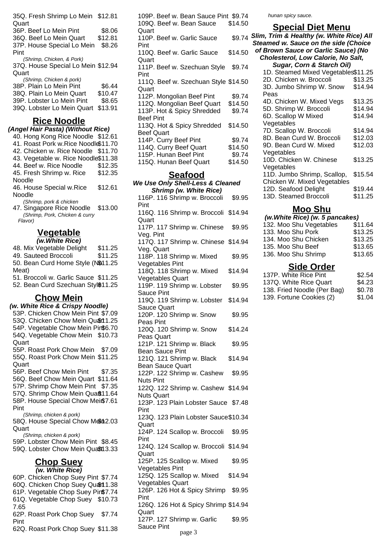| 35Q. Fresh Shrimp Lo Mein \$12.81<br>Quart |         |
|--------------------------------------------|---------|
| 36P. Beef Lo Mein Pint                     | \$8.06  |
| 36Q. Beef Lo Mein Quart                    | \$12.81 |
| 37P. House Special Lo Mein                 | \$8.26  |
| Pint                                       |         |
| (Shrimp, Chicken, & Pork)                  |         |
| 37Q. House Special Lo Mein \$12.94         |         |
| Quart                                      |         |
| (Shrimp, Chicken & pork)                   |         |
| 38P. Plain Lo Mein Pint                    | \$6.44  |
| 38Q. Plain Lo Mein Quart                   | \$10.47 |
| 39P. Lobster Lo Mein Pint                  | \$8.65  |
| 39Q. Lobster Lo Mein Quart                 | \$13.91 |

#### **Rice Noodle**

**(Angel Hair Pasta) (Without Rice)** 40. Hong Kong Rice Noodle \$12.61 41. Roast Pork w.Rice Noodle\$11.70 42. Chicken w. Rice Noodle \$11.70 43. Vegetable w. Rice Noodle\$11.38 44. Beef w. Rice Noodle \$12.35 45. Fresh Shrimp w. Rice Noodle \$12.35 46. House Special w.Rice Noodle \$12.61 (Shrimp, pork & chicken 47. Singapore Rice Noodle \$13.00 (Shrimp, Pork, Chicken & curry

Flavor)

#### **Vegetable (w.White Rice)**

48. Mix Vegetable Delight \$11.25 49. Sauteed Broccoli \$11.25 50. Bean Curd Home Style (N\$11.25 Meat) 51. Broccoli w. Garlic Sauce \$11.25 52. Bean Curd Szechuan Stvl\$11.25

#### **Chow Mein**

**(w. White Rice & Crispy Noodle)** 53P. Chicken Chow Mein Pint \$7.09 53Q. Chicken Chow Mein Quart 1.25 54P. Vegetable Chow Mein Pin\$6.70 54Q. Vegetable Chow Mein \$10.73 Quart 55P. Roast Pork Chow Mein \$7.09 55Q. Roast Pork Chow Mein \$11.25 Quart 56P. Beef Chow Mein Pint \$7.35 56Q. Beef Chow Mein Quart \$11.64 57P. Shrimp Chow Mein Pint \$7.35 57Q. Shrimp Chow Mein Quaft11.64 58P. House Special Chow Mei\$7.61 Pint (Shrimp, chicken & pork) 58Q. House Special Chow M& 12.03 Quart (Shrimp, chicken & pork) 59P. Lobster Chow Mein Pint \$8.45 59Q. Lobster Chow Mein Quast13.33 **Chop Suey (w. White Rice)** 60P. Chicken Chop Suey Pint \$7.74 60Q. Chicken Chop Suey Quart 1.38 61P. Vegetable Chop Suey Pin\$7.74

61Q. Vegetable Chop Suey \$10.73 7.65 62P. Roast Pork Chop Suey \$7.74 Pint 62Q. Roast Pork Chop Suey \$11.38

109P. Beef w. Bean Sauce Pint \$9.74 109Q. Beef w. Bean Sauce **Quart** \$14.50 110P. Beef w. Garlic Sauce Pint \$9.74 110Q. Beef w. Garlic Sauce **Quart** \$14.50 111P. Beef w. Szechuan Style Pint \$9.74 111Q. Beef w. Szechuan Style \$14.50 Quart 112P. Mongolian Beef Pint \$9.74 112Q. Mongolian Beef Quart \$14.50 113P. Hot & Spicy Shredded Beef Pint \$9.74 113Q. Hot & Spicy Shredded Beef Quart \$14.50 114P. Curry Beef Pint \$9.74 114Q. Curry Beef Quart \$14.50 115P. Hunan Beef Pint \$9.74 115Q. Hunan Beef Quart \$14.50

#### **Seafood**

#### **We Use Only Shell-Less & Cleaned Shrimp (w. White Rice)**

116P. 116 Shrimp w. Broccoli Pint \$9.95 116Q. 116 Shrimp w. Broccoli \$14.94 Quart 117P. 117 Shrimp w. Chinese Veg. Pint \$9.95 117Q. 117 Shrimp w. Chinese \$14.94 Veg. Quart 118P. 118 Shrimp w. Mixed Vegetables Pint \$9.95 118Q. 118 Shrimp w. Mixed Vegetables Quart \$14.94 119P. 119 Shrimp w. Lobster Sauce Pint \$9.95 119Q. 119 Shrimp w. Lobster Sauce Quart \$14.94 120P. 120 Shrimp w. Snow Peas Pint \$9.95 120Q. 120 Shrimp w. Snow Peas Quart \$14.24 121P. 121 Shrimp w. Black Bean Sauce Pint \$9.95 121Q. 121 Shrimp w. Black Bean Sauce Quart \$14.94 122P. 122 Shrimp w. Cashew Nuts Pint \$9.95 122Q. 122 Shrimp w. Cashew \$14.94 Nuts Quart 123P. 123 Plain Lobster Sauce \$7.48 Pint 123Q. 123 Plain Lobster Sauce \$10.34 **Quart** 124P. 124 Scallop w. Broccoli Pint \$9.95 124Q. 124 Scallop w. Broccoli \$14.94 Quart 125P. 125 Scallop w. Mixed Vegetables Pint \$9.95 125Q. 125 Scallop w. Mixed Vegetables Quart \$14.94 126P. 126 Hot & Spicy Shrimp Pint \$9.95 126Q. 126 Hot & Spicy Shrimp \$14.94 **Quart** 127P. 127 Shrimp w. Garlic Sauce Pint \$9.95 page 3

hunan spicy sauce.

#### **Special Diet Menu**

**Slim, Trim & Healthy (w. White Rice) All Steamed w. Sauce on the side (Choice of Brown Sauce or Garlic Sauce) (No**

| or brown sauce or game sauce) (NO  |  |
|------------------------------------|--|
| Cholesterol, Low Calorie, No Salt, |  |

| Sugar, Corn & Starch Oil)           |         |  |
|-------------------------------------|---------|--|
| 1D. Steamed Mixed Vegetables\$11.25 |         |  |
| 2D. Chicken w. Broccoli             | \$13.25 |  |
| 3D. Jumbo Shrimp W. Snow            | \$14.94 |  |
| Peas                                |         |  |
| 4D. Chicken W. Mixed Vegs           | \$13.25 |  |
| 5D. Shrimp W. Broccoli              | \$14.94 |  |
| 6D. Scallop W Mixed                 | \$14.94 |  |
| Vegetables                          |         |  |
| 7D. Scallop W. Broccoli             | \$14.94 |  |
| 8D. Bean Curd W. Broccoli           | \$12.03 |  |
| 9D. Bean Curd W. Mixed              | \$12.03 |  |
| Vegetables                          |         |  |
| 10D. Chicken W. Chinese             | \$13.25 |  |
| Vegetables                          |         |  |
| 11D. Jumbo Shrimp, Scallop,         | \$15.54 |  |
| Chicken W. Mixed Vegetables         |         |  |
| 12D. Seafood Delight                | \$19.44 |  |
| 13D. Steamed Broccoli               | \$11.25 |  |

#### **Moo Shu**

| (w. White Rice) (w. 5 pancakes) |         |
|---------------------------------|---------|
| 132. Moo Shu Vegetables         | \$11.64 |
| 133. Moo Shu Pork               | \$13.25 |
| 134. Moo Shu Chicken            | \$13.25 |
| 135. Moo Shu Beef               | \$13.65 |
| 136. Moo Shu Shrimp             | \$13.65 |
|                                 |         |

#### **Side Order**

| 137P. White Rice Pint       | \$2.54 |
|-----------------------------|--------|
| 137Q. White Rice Quart      | \$4.23 |
| 138. Fried Noodle (Per Bag) | \$0.78 |
| 139. Fortune Cookies (2)    | \$1.04 |